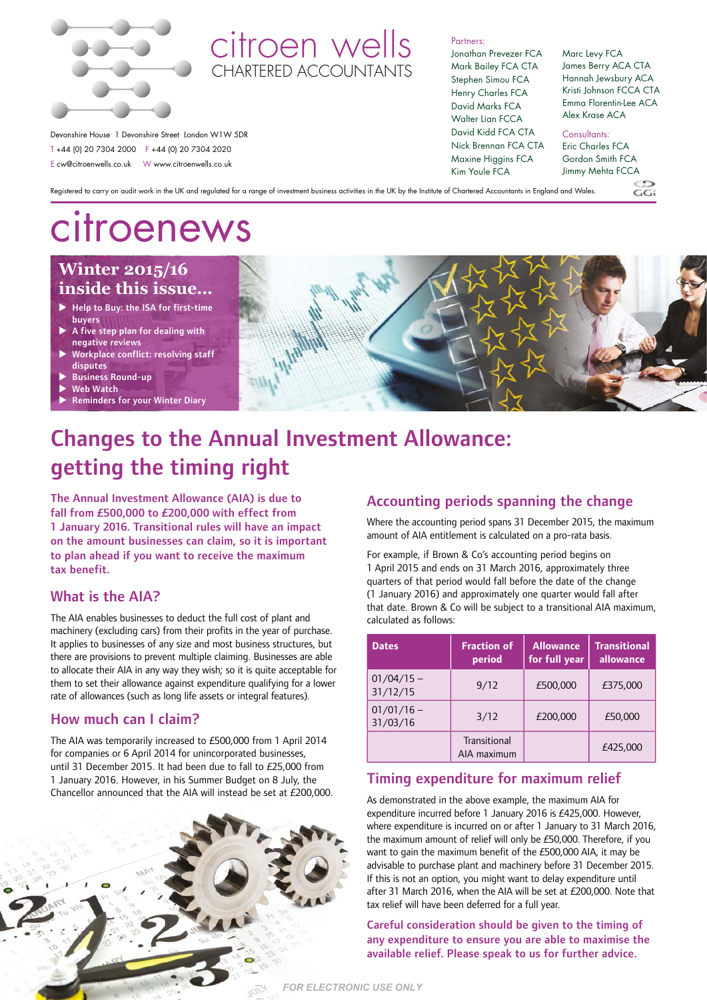

### citroen wells CHARTERED ACCOUNTANT

Partners:

Jonathan Prevezer FCA Mark Bailey FCA CTA Stephen Simou FCA Henry Charles FCA David Marks FCA Walter Lian FCCA David Kidd FCA CTA Nick Brennan FCA CTA Maxine Higgins FCA Kim Youle FCA

#### Marc Levy FCA James Berry ACA CTA Hannah Jewsbury ACA Kristi Johnson FCCA CTA Emma Florentin-Lee ACA Alex Krase ACA

Consultants:

Eric Charles FCA Gordon Smith FCA Jimmy Mehta FCCA

 $C$ . $C$ 

Registered to carry on audit work in the UK and regulated for a range of investment business activities in the UK by the Institute of Chartered Accountants in England and Wales.

# citroenews

T +44 (0) 20 7304 2000 F +44 (0) 20 7304 2020 E cw@citroenwells.co.uk W www.citroenwells.co.uk

### **Winter 2015/16 inside this issue…**

- $\blacktriangleright$  Help to Buy: the ISA for first-time
- buyers A five step plan for dealing with
- negative reviews
- Workplace conflict: resolving staff disputes
- Business Round-up
- **Web Watch**
- **Reminders for your Winter Diary**



### Changes to the Annual Investment Allowance: getting the timing right

The Annual Investment Allowance (AIA) is due to fall from £500,000 to £200,000 with effect from 1 January 2016. Transitional rules will have an impact on the amount businesses can claim, so it is important to plan ahead if you want to receive the maximum tax benefit.

#### What is the AIA?

The AIA enables businesses to deduct the full cost of plant and machinery (excluding cars) from their profits in the year of purchase. It applies to businesses of any size and most business structures, but there are provisions to prevent multiple claiming. Businesses are able to allocate their AIA in any way they wish; so it is quite acceptable for them to set their allowance against expenditure qualifying for a lower rate of allowances (such as long life assets or integral features).

#### How much can I claim?

The AIA was temporarily increased to £500,000 from 1 April 2014 for companies or 6 April 2014 for unincorporated businesses, until 31 December 2015. It had been due to fall to £25,000 from 1 January 2016. However, in his Summer Budget on 8 July, the Chancellor announced that the AIA will instead be set at £200,000.



#### Accounting periods spanning the change

Where the accounting period spans 31 December 2015, the maximum amount of AIA entitlement is calculated on a pro-rata basis.

For example, if Brown & Co's accounting period begins on 1 April 2015 and ends on 31 March 2016, approximately three quarters of that period would fall before the date of the change (1 January 2016) and approximately one quarter would fall after that date. Brown & Co will be subject to a transitional AIA maximum, calculated as follows:

| <b>Dates</b>             | <b>Fraction of</b><br>period | <b>Allowance</b><br>for full year | <b>Transitional</b><br>allowance |
|--------------------------|------------------------------|-----------------------------------|----------------------------------|
| $01/04/15 -$<br>31/12/15 | 9/12                         | £500,000                          | £375,000                         |
| $01/01/16$ –<br>31/03/16 | 3/12                         | £200.000                          | £50,000                          |
|                          | Transitional<br>AIA maximum  |                                   | £425.000                         |

#### Timing expenditure for maximum relief

As demonstrated in the above example, the maximum AIA for expenditure incurred before 1 January 2016 is £425,000. However, where expenditure is incurred on or after 1 January to 31 March 2016, the maximum amount of relief will only be £50,000. Therefore, if you want to gain the maximum benefit of the £500,000 AIA, it may be advisable to purchase plant and machinery before 31 December 2015. If this is not an option, you might want to delay expenditure until after 31 March 2016, when the AIA will be set at £200,000. Note that tax relief will have been deferred for a full year.

Careful consideration should be given to the timing of any expenditure to ensure you are able to maximise the available relief. Please speak to us for further advice.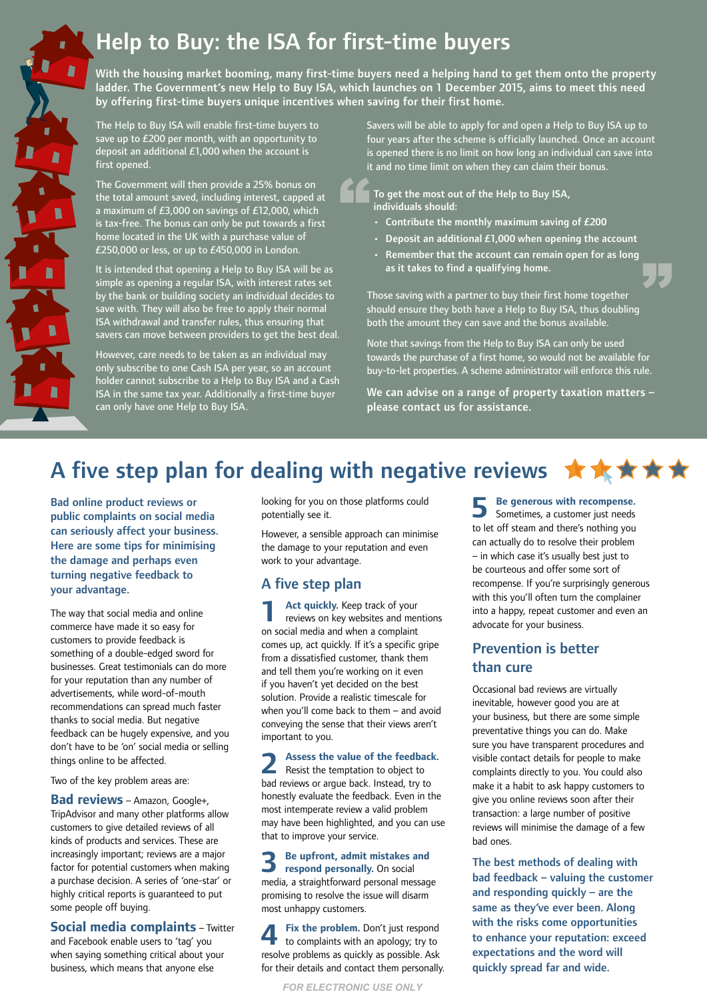# Help to Buy: the ISA for first-time buyers

With the housing market booming, many first-time buyers need a helping hand to get them onto the property ladder. The Government's new Help to Buy ISA, which launches on 1 December 2015, aims to meet this need by offering first-time buyers unique incentives when saving for their first home.

The Help to Buy ISA will enable first-time buyers to save up to £200 per month, with an opportunity to deposit an additional £1,000 when the account is first opened.

Γ

Г

Г

R

The Government will then provide a 25% bonus on the total amount saved, including interest, capped at a maximum of £3,000 on savings of £12,000, which is tax-free. The bonus can only be put towards a first home located in the UK with a purchase value of £250,000 or less, or up to £450,000 in London.

It is intended that opening a Help to Buy ISA will be as simple as opening a regular ISA, with interest rates set by the bank or building society an individual decides to save with. They will also be free to apply their normal ISA withdrawal and transfer rules, thus ensuring that savers can move between providers to get the best deal.

However, care needs to be taken as an individual may only subscribe to one Cash ISA per year, so an account holder cannot subscribe to a Help to Buy ISA and a Cash ISA in the same tax year. Additionally a first-time buyer can only have one Help to Buy ISA.

Savers will be able to apply for and open a Help to Buy ISA up to four years after the scheme is officially launched. Once an account is opened there is no limit on how long an individual can save into it and no time limit on when they can claim their bonus.

To get the most out of the Help to Buy ISA, individuals should:

- $\cdot$  Contribute the monthly maximum saving of £200
- Deposit an additional £1,000 when opening the account
- Remember that the account can remain open for as long as it takes to find a qualifying home.

Those saving with a partner to buy their first home together should ensure they both have a Help to Buy ISA, thus doubling both the amount they can save and the bonus available.

Note that savings from the Help to Buy ISA can only be used towards the purchase of a first home, so would not be available for buy-to-let properties. A scheme administrator will enforce this rule.

We can advise on a range of property taxation matters – please contact us for assistance.

## A five step plan for dealing with negative reviews  $\star \star \star \star$

Bad online product reviews or public complaints on social media can seriously affect your business. Here are some tips for minimising the damage and perhaps even turning negative feedback to your advantage.

The way that social media and online commerce have made it so easy for customers to provide feedback is something of a double-edged sword for businesses. Great testimonials can do more for your reputation than any number of advertisements, while word-of-mouth recommendations can spread much faster thanks to social media. But negative feedback can be hugely expensive, and you don't have to be 'on' social media or selling things online to be affected.

Two of the key problem areas are:

**Bad reviews** – Amazon, Google+, TripAdvisor and many other platforms allow customers to give detailed reviews of all kinds of products and services. These are increasingly important; reviews are a major factor for potential customers when making a purchase decision. A series of 'one-star' or highly critical reports is guaranteed to put some people off buying.

**Social media complaints** – Twitter and Facebook enable users to 'tag' you when saying something critical about your business, which means that anyone else

looking for you on those platforms could potentially see it.

However, a sensible approach can minimise the damage to your reputation and even work to your advantage.

### A five step plan

**1 Act quickly.** Keep track of your reviews on key websites and mentions on social media and when a complaint comes up, act quickly. If it's a specific gripe from a dissatisfied customer, thank them and tell them you're working on it even if you haven't yet decided on the best solution. Provide a realistic timescale for when you'll come back to them – and avoid conveying the sense that their views aren't important to you.

**2 Assess the value of the feedback.** Resist the temptation to object to bad reviews or argue back. Instead, try to honestly evaluate the feedback. Even in the most intemperate review a valid problem may have been highlighted, and you can use that to improve your service.

**3 Be upfront, admit mistakes and respond personally.** On social media, a straightforward personal message promising to resolve the issue will disarm most unhappy customers.

**4 Fix the problem.** Don't just respond to complaints with an apology; try to resolve problems as quickly as possible. Ask for their details and contact them personally.

**5 Be generous with recompense.** Sometimes, a customer just needs to let off steam and there's nothing you can actually do to resolve their problem – in which case it's usually best just to be courteous and offer some sort of recompense. If you're surprisingly generous with this you'll often turn the complainer into a happy, repeat customer and even an advocate for your business.

### Prevention is better than cure

Occasional bad reviews are virtually inevitable, however good you are at your business, but there are some simple preventative things you can do. Make sure you have transparent procedures and visible contact details for people to make complaints directly to you. You could also make it a habit to ask happy customers to give you online reviews soon after their transaction: a large number of positive reviews will minimise the damage of a few bad ones.

The best methods of dealing with bad feedback – valuing the customer and responding quickly – are the same as they've ever been. Along with the risks come opportunities to enhance your reputation: exceed expectations and the word will quickly spread far and wide.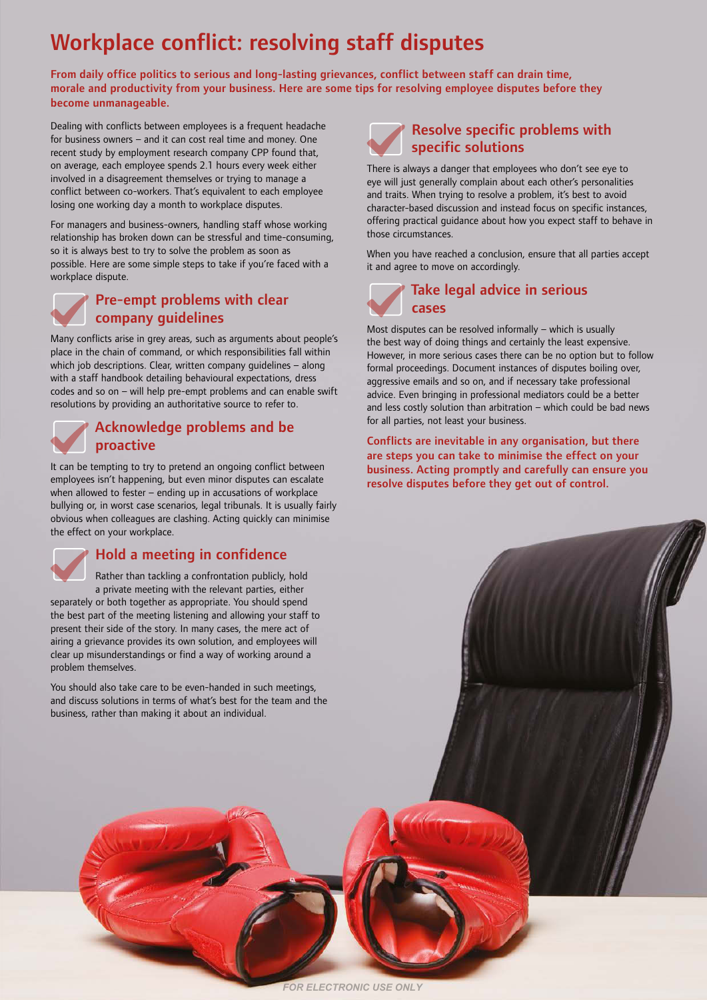# Workplace conflict: resolving staff disputes

From daily office politics to serious and long-lasting grievances, conflict between staff can drain time, morale and productivity from your business. Here are some tips for resolving employee disputes before they become unmanageable.

Dealing with conflicts between employees is a frequent headache for business owners – and it can cost real time and money. One recent study by employment research company CPP found that, on average, each employee spends 2.1 hours every week either involved in a disagreement themselves or trying to manage a conflict between co-workers. That's equivalent to each employee losing one working day a month to workplace disputes.

For managers and business-owners, handling staff whose working relationship has broken down can be stressful and time-consuming, so it is always best to try to solve the problem as soon as possible. Here are some simple steps to take if you're faced with a workplace dispute.



#### Pre-empt problems with clear company guidelines

Many conflicts arise in grey areas, such as arguments about people's place in the chain of command, or which responsibilities fall within which job descriptions. Clear, written company quidelines - along with a staff handbook detailing behavioural expectations, dress codes and so on – will help pre-empt problems and can enable swift resolutions by providing an authoritative source to refer to.



### Acknowledge problems and be proactive

It can be tempting to try to pretend an ongoing conflict between employees isn't happening, but even minor disputes can escalate when allowed to fester – ending up in accusations of workplace bullying or, in worst case scenarios, legal tribunals. It is usually fairly obvious when colleagues are clashing. Acting quickly can minimise the effect on your workplace.



### Hold a meeting in confidence

Rather than tackling a confrontation publicly, hold a private meeting with the relevant parties, either separately or both together as appropriate. You should spend the best part of the meeting listening and allowing your staff to present their side of the story. In many cases, the mere act of airing a grievance provides its own solution, and employees will clear up misunderstandings or find a way of working around a problem themselves.

You should also take care to be even-handed in such meetings, and discuss solutions in terms of what's best for the team and the business, rather than making it about an individual.



There is always a danger that employees who don't see eye to eye will just generally complain about each other's personalities and traits. When trying to resolve a problem, it's best to avoid character-based discussion and instead focus on specific instances, offering practical guidance about how you expect staff to behave in those circumstances.

When you have reached a conclusion, ensure that all parties accept it and agree to move on accordingly.



Most disputes can be resolved informally – which is usually the best way of doing things and certainly the least expensive. However, in more serious cases there can be no option but to follow formal proceedings. Document instances of disputes boiling over, aggressive emails and so on, and if necessary take professional advice. Even bringing in professional mediators could be a better and less costly solution than arbitration – which could be bad news for all parties, not least your business.

Conflicts are inevitable in any organisation, but there are steps you can take to minimise the effect on your business. Acting promptly and carefully can ensure you resolve disputes before they get out of control.